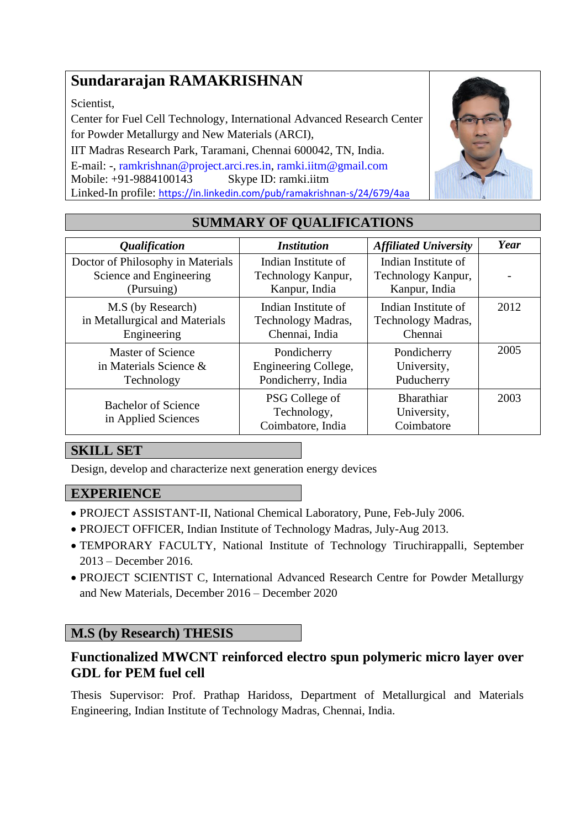# **Sundararajan RAMAKRISHNAN**

Scientist,

Center for Fuel Cell Technology, International Advanced Research Center for Powder Metallurgy and New Materials (ARCI),

IIT Madras Research Park, Taramani, Chennai 600042, TN, India. E-mail: -, [ramkrishnan@project.arci.res.in,](mailto:ramakrishnan@nitt.edu) [ramki.iitm@gmail.com](Career/01%20PhD%20Applications/ramki.iitm@gmail.com) Mobile: +91-9884100143 Skype ID: ramki.iitm Linked-In profile: <https://in.linkedin.com/pub/ramakrishnan-s/24/679/4aa>



| <i><b>Qualification</b></i>                       | <b>Institution</b>                                 | <b>Affiliated University</b>                   | Year |
|---------------------------------------------------|----------------------------------------------------|------------------------------------------------|------|
| Doctor of Philosophy in Materials                 | Indian Institute of                                | Indian Institute of                            |      |
| Science and Engineering                           | Technology Kanpur,                                 | Technology Kanpur,                             |      |
| (Pursuing)                                        | Kanpur, India                                      | Kanpur, India                                  |      |
| M.S (by Research)                                 | Indian Institute of                                | Indian Institute of                            | 2012 |
| in Metallurgical and Materials                    | Technology Madras,                                 | Technology Madras,                             |      |
| Engineering                                       | Chennai, India                                     | Chennai                                        |      |
| <b>Master of Science</b>                          | Pondicherry                                        | Pondicherry                                    | 2005 |
| in Materials Science &                            | Engineering College,                               | University,                                    |      |
| Technology                                        | Pondicherry, India                                 | Puducherry                                     |      |
| <b>Bachelor of Science</b><br>in Applied Sciences | PSG College of<br>Technology,<br>Coimbatore, India | <b>Bharathiar</b><br>University,<br>Coimbatore | 2003 |

# **SUMMARY OF QUALIFICATIONS**

## **SKILL SET**

Design, develop and characterize next generation energy devices

## **EXPERIENCE**

- PROJECT ASSISTANT-II, National Chemical Laboratory, Pune, Feb-July 2006.
- PROJECT OFFICER, Indian Institute of Technology Madras, July-Aug 2013.
- TEMPORARY FACULTY, National Institute of Technology Tiruchirappalli, September 2013 – December 2016.
- PROJECT SCIENTIST C, International Advanced Research Centre for Powder Metallurgy and New Materials, December 2016 – December 2020

## **M.S (by Research) THESIS**

## **Functionalized MWCNT reinforced electro spun polymeric micro layer over GDL for PEM fuel cell**

Thesis Supervisor: Prof. Prathap Haridoss, Department of Metallurgical and Materials Engineering, Indian Institute of Technology Madras, Chennai, India.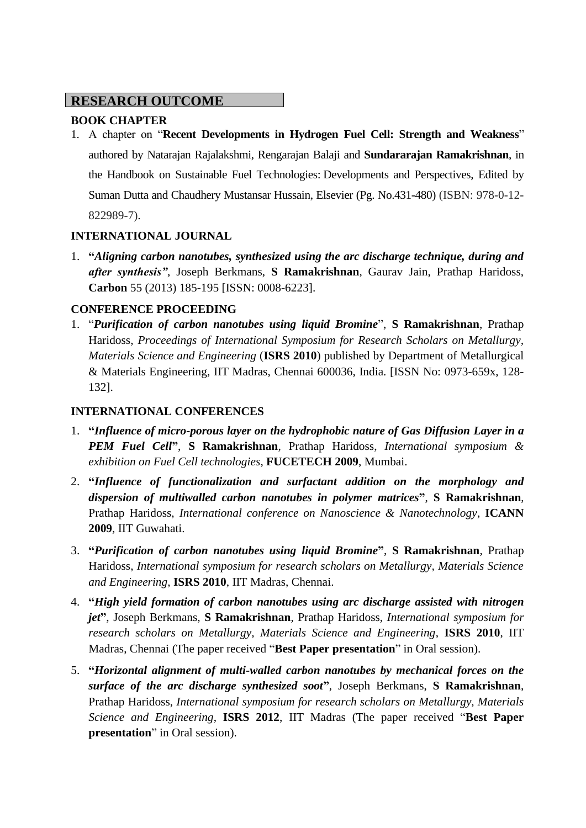## **RESEARCH OUTCOME**

### **BOOK CHAPTER**

1. A chapter on "**Recent Developments in Hydrogen Fuel Cell: Strength and Weakness**" authored by Natarajan Rajalakshmi, Rengarajan Balaji and **Sundararajan Ramakrishnan**, in the Handbook on Sustainable Fuel Technologies: Developments and Perspectives, Edited by Suman Dutta and Chaudhery Mustansar Hussain, Elsevier (Pg. No.431-480) (ISBN: 978-0-12- 822989-7).

#### **INTERNATIONAL JOURNAL**

1. **"***Aligning carbon nanotubes, synthesized using the arc discharge technique, during and after synthesis"*, Joseph Berkmans, **S Ramakrishnan**, Gaurav Jain, Prathap Haridoss, **Carbon** 55 (2013) 185-195 [ISSN: 0008-6223].

#### **CONFERENCE PROCEEDING**

1. "*Purification of carbon nanotubes using liquid Bromine*", **S Ramakrishnan**, Prathap Haridoss, *Proceedings of International Symposium for Research Scholars on Metallurgy, Materials Science and Engineering* (**ISRS 2010**) published by Department of Metallurgical & Materials Engineering, IIT Madras, Chennai 600036, India. [ISSN No: 0973-659x, 128- 132].

#### **INTERNATIONAL CONFERENCES**

- 1. **"***Influence of micro-porous layer on the hydrophobic nature of Gas Diffusion Layer in a PEM Fuel Cell***"**, **S Ramakrishnan**, Prathap Haridoss, *International symposium & exhibition on Fuel Cell technologies*, **FUCETECH 2009**, Mumbai.
- 2. **"***Influence of functionalization and surfactant addition on the morphology and dispersion of multiwalled carbon nanotubes in polymer matrices***"**, **S Ramakrishnan**, Prathap Haridoss, *International conference on Nanoscience & Nanotechnology*, **ICANN 2009**, IIT Guwahati.
- 3. **"***Purification of carbon nanotubes using liquid Bromine***"**, **S Ramakrishnan**, Prathap Haridoss, *International symposium for research scholars on Metallurgy, Materials Science and Engineering*, **ISRS 2010**, IIT Madras, Chennai.
- 4. **"***High yield formation of carbon nanotubes using arc discharge assisted with nitrogen jet***"**, Joseph Berkmans, **S Ramakrishnan**, Prathap Haridoss, *International symposium for research scholars on Metallurgy, Materials Science and Engineering*, **ISRS 2010**, IIT Madras, Chennai (The paper received "**Best Paper presentation**" in Oral session).
- 5. **"***Horizontal alignment of multi-walled carbon nanotubes by mechanical forces on the surface of the arc discharge synthesized soot***"**, Joseph Berkmans, **S Ramakrishnan**, Prathap Haridoss, *International symposium for research scholars on Metallurgy, Materials Science and Engineering*, **ISRS 2012**, IIT Madras (The paper received "**Best Paper presentation**" in Oral session).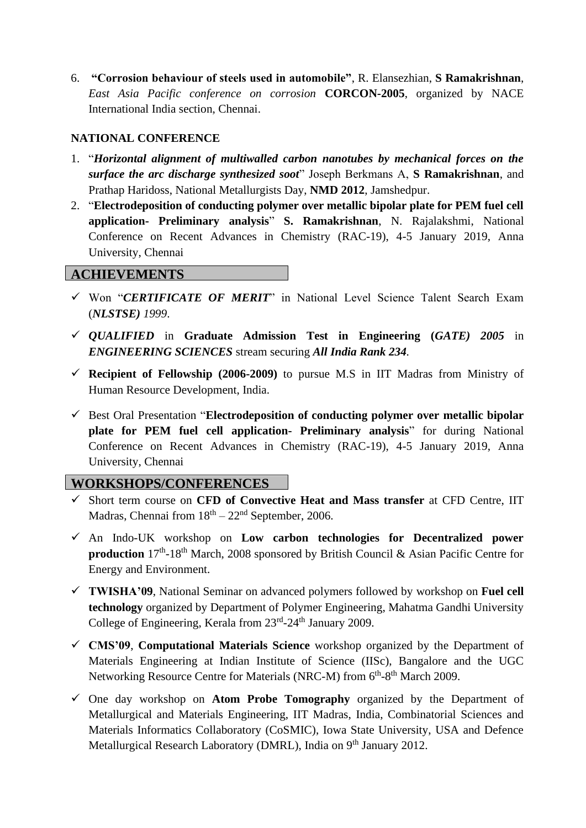6. **"Corrosion behaviour of steels used in automobile"**, R. Elansezhian, **S Ramakrishnan**, *East Asia Pacific conference on corrosion* **CORCON-2005**, organized by NACE International India section, Chennai.

#### **NATIONAL CONFERENCE**

- 1. "*Horizontal alignment of multiwalled carbon nanotubes by mechanical forces on the surface the arc discharge synthesized soot*" Joseph Berkmans A, **S Ramakrishnan**, and Prathap Haridoss, National Metallurgists Day, **NMD 2012**, Jamshedpur.
- 2. "**Electrodeposition of conducting polymer over metallic bipolar plate for PEM fuel cell application- Preliminary analysis**" **S. Ramakrishnan**, N. Rajalakshmi, National Conference on Recent Advances in Chemistry (RAC-19), 4-5 January 2019, Anna University, Chennai

#### **ACHIEVEMENTS**

- ✓ Won "*CERTIFICATE OF MERIT*" in National Level Science Talent Search Exam (*NLSTSE) 1999*.
- ✓ *QUALIFIED* in **Graduate Admission Test in Engineering (***GATE) 2005* in *ENGINEERING SCIENCES* stream securing *All India Rank 234.*
- ✓ **Recipient of Fellowship (2006-2009)** to pursue M.S in IIT Madras from Ministry of Human Resource Development, India.
- ✓ Best Oral Presentation "**Electrodeposition of conducting polymer over metallic bipolar plate for PEM fuel cell application- Preliminary analysis**" for during National Conference on Recent Advances in Chemistry (RAC-19), 4-5 January 2019, Anna University, Chennai

#### **WORKSHOPS/CONFERENCES**

- ✓ Short term course on **CFD of Convective Heat and Mass transfer** at CFD Centre, IIT **ATTENDED**Madras, Chennai from  $18<sup>th</sup> - 22<sup>nd</sup>$  September, 2006.
- ✓ An Indo-UK workshop on **Low carbon technologies for Decentralized power**  production 17<sup>th</sup>-18<sup>th</sup> March, 2008 sponsored by British Council & Asian Pacific Centre for Energy and Environment.
- ✓ **TWISHA'09**, National Seminar on advanced polymers followed by workshop on **Fuel cell technology** organized by Department of Polymer Engineering, Mahatma Gandhi University College of Engineering, Kerala from 23<sup>rd</sup>-24<sup>th</sup> January 2009.
- ✓ **CMS'09**, **Computational Materials Science** workshop organized by the Department of Materials Engineering at Indian Institute of Science (IISc), Bangalore and the UGC Networking Resource Centre for Materials [\(NRC-M\)](http://materials.iisc.ernet.in/ugc-net/) from 6<sup>th</sup>-8<sup>th</sup> March 2009.
- ✓ One day workshop on **Atom Probe Tomography** organized by the Department of Metallurgical and Materials Engineering, IIT Madras, India, Combinatorial Sciences and Materials Informatics Collaboratory (CoSMIC), Iowa State University, USA and Defence Metallurgical Research Laboratory (DMRL), India on 9<sup>th</sup> January 2012.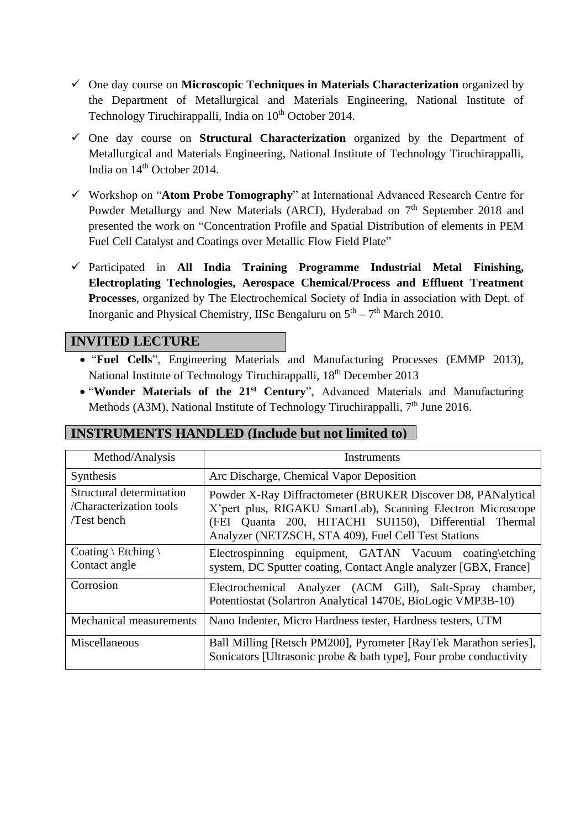- ✓ One day course on **Microscopic Techniques in Materials Characterization** organized by the Department of Metallurgical and Materials Engineering, National Institute of Technology Tiruchirappalli, India on 10<sup>th</sup> October 2014.
- ✓ One day course on **Structural Characterization** organized by the Department of Metallurgical and Materials Engineering, National Institute of Technology Tiruchirappalli, India on  $14<sup>th</sup>$  October 2014.
- ✓ Workshop on "**Atom Probe Tomography**" at International Advanced Research Centre for Powder Metallurgy and New Materials (ARCI), Hyderabad on  $7<sup>th</sup>$  September 2018 and presented the work on "Concentration Profile and Spatial Distribution of elements in PEM Fuel Cell Catalyst and Coatings over Metallic Flow Field Plate"
- ✓ Participated in **All India Training Programme Industrial Metal Finishing, Electroplating Technologies, Aerospace Chemical/Process and Effluent Treatment Processes**, organized by The Electrochemical Society of India in association with Dept. of Inorganic and Physical Chemistry, IISc Bengaluru on  $5<sup>th</sup> - 7<sup>th</sup>$  March 2010.

#### **INVITED LECTURE**

- "**Fuel Cells**", Engineering Materials and Manufacturing Processes (EMMP 2013), National Institute of Technology Tiruchirappalli, 18th December 2013
- "**Wonder Materials of the 21st Century**", Advanced Materials and Manufacturing Methods (A3M), National Institute of Technology Tiruchirappalli, 7<sup>th</sup> June 2016.

#### **INSTRUMENTS HANDLED (Include but not limited to)**

| Method/Analysis                                                   | Instruments                                                                                                                                                                                                                                   |  |
|-------------------------------------------------------------------|-----------------------------------------------------------------------------------------------------------------------------------------------------------------------------------------------------------------------------------------------|--|
| Synthesis                                                         | Arc Discharge, Chemical Vapor Deposition                                                                                                                                                                                                      |  |
| Structural determination<br>/Characterization tools<br>Test bench | Powder X-Ray Diffractometer (BRUKER Discover D8, PANalytical<br>X'pert plus, RIGAKU SmartLab), Scanning Electron Microscope<br>(FEI Quanta 200, HITACHI SUI150), Differential Thermal<br>Analyzer (NETZSCH, STA 409), Fuel Cell Test Stations |  |
| Coating \ Etching \<br>Contact angle                              | Electrospinning equipment, GATAN Vacuum coating etching<br>system, DC Sputter coating, Contact Angle analyzer [GBX, France]                                                                                                                   |  |
| Corrosion                                                         | Electrochemical Analyzer (ACM Gill), Salt-Spray<br>chamber.<br>Potentiostat (Solartron Analytical 1470E, BioLogic VMP3B-10)                                                                                                                   |  |
| Mechanical measurements                                           | Nano Indenter, Micro Hardness tester, Hardness testers, UTM                                                                                                                                                                                   |  |
| Miscellaneous                                                     | Ball Milling [Retsch PM200], Pyrometer [RayTek Marathon series],<br>Sonicators [Ultrasonic probe & bath type], Four probe conductivity                                                                                                        |  |